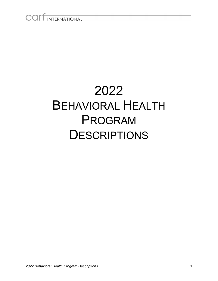# COLLINTERNATIONAL

# 2022 BEHAVIORAL HEALTH PROGRAM **DESCRIPTIONS**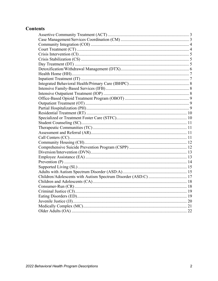#### **Contents**

<span id="page-1-0"></span>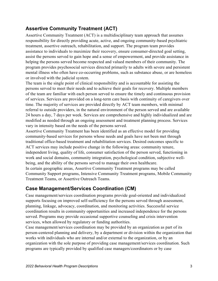#### **Assertive Community Treatment (ACT)**

Assertive Community Treatment (ACT) is a multidisciplinary team approach that assumes responsibility for directly providing acute, active, and ongoing community-based psychiatric treatment, assertive outreach, rehabilitation, and support. The program team provides assistance to individuals to maximize their recovery, ensure consumer-directed goal setting, assist the persons served to gain hope and a sense of empowerment, and provide assistance in helping the persons served become respected and valued members of their community. The program provides psychosocial services directed primarily to adults with severe and persistent mental illness who often have co-occurring problems, such as substance abuse, or are homeless or involved with the judicial system.

The team is the single point of clinical responsibility and is accountable for assisting the persons served to meet their needs and to achieve their goals for recovery. Multiple members of the team are familiar with each person served to ensure the timely and continuous provision of services. Services are provided on a long-term care basis with continuity of caregivers over time. The majority of services are provided directly by ACT team members, with minimal referral to outside providers, in the natural environment of the person served and are available 24 hours a day, 7 days per week. Services are comprehensive and highly individualized and are modified as needed through an ongoing assessment and treatment planning process. Services vary in intensity based on the needs of the persons served.

Assertive Community Treatment has been identified as an effective model for providing community-based services for persons whose needs and goals have not been met through traditional office-based treatment and rehabilitation services. Desired outcomes specific to ACT services may include positive change in the following areas: community tenure, independent living, quality of life, consumer satisfaction of the person served, functioning in work and social domains, community integration, psychological condition, subjective wellbeing, and the ability of the persons served to manage their own healthcare. In certain geographic areas, Assertive Community Treatment programs may be called Community Support programs, Intensive Community Treatment programs, Mobile Community Treatment Teams, or Assertive Outreach Teams.

#### <span id="page-2-0"></span>**Case Management/Services Coordination (CM)**

Case management/services coordination programs provide goal-oriented and individualized supports focusing on improved self-sufficiency for the persons served through assessment, planning, linkage, advocacy, coordination, and monitoring activities. Successful service coordination results in community opportunities and increased independence for the persons served. Programs may provide occasional supportive counseling and crisis intervention services, when allowed by regulatory or funding authorities.

Case management/services coordination may be provided by an organization as part of its person-centered planning and delivery, by a department or division within the organization that works with individuals who are internal and/or external to the organization, or by an organization with the sole purpose of providing case management/services coordination. Such programs are typically provided by qualified case managers/coordinators or by case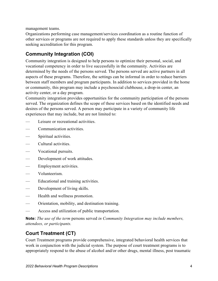management teams.

Organizations performing case management/services coordination as a routine function of other services or programs are not required to apply these standards unless they are specifically seeking accreditation for this program.

# <span id="page-3-0"></span>**Community Integration (COI)**

Community integration is designed to help persons to optimize their personal, social, and vocational competency in order to live successfully in the community. Activities are determined by the needs of the persons served. The persons served are active partners in all aspects of these programs. Therefore, the settings can be informal in order to reduce barriers between staff members and program participants. In addition to services provided in the home or community, this program may include a psychosocial clubhouse, a drop-in center, an activity center, or a day program.

Community integration provides opportunities for the community participation of the persons served. The organization defines the scope of these services based on the identified needs and desires of the persons served. A person may participate in a variety of community life experiences that may include, but are not limited to:

- Leisure or recreational activities.
- Communication activities.
- Spiritual activities.
- Cultural activities.
- Vocational pursuits.
- Development of work attitudes.
- Employment activities.
- Volunteerism.
- Educational and training activities.
- Development of living skills.
- Health and wellness promotion.
- Orientation, mobility, and destination training.
- Access and utilization of public transportation.

**Note:** *The use of the term* persons served *in Community Integration may include members, attendees, or participants.*

#### <span id="page-3-1"></span>**Court Treatment (CT)**

Court Treatment programs provide comprehensive, integrated behavioral health services that work in conjunction with the judicial system. The purpose of court treatment programs is to appropriately respond to the abuse of alcohol and/or other drugs, mental illness, post traumatic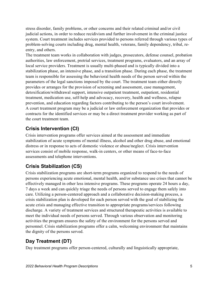stress disorder, family problems, or other concerns and their related criminal and/or civil judicial actions, in order to reduce recidivism and further involvement in the criminal justice system. Court treatment includes services provided to persons referred through various types of problem-solving courts including drug, mental health, veterans, family dependency, tribal, reentry, and others.

The treatment team works in collaboration with judges, prosecutors, defense counsel, probation authorities, law enforcement, pretrial services, treatment programs, evaluators, and an array of local service providers. Treatment is usually multi-phased and is typically divided into a stabilization phase, an intensive phase, and a transition phase. During each phase, the treatment team is responsible for assessing the behavioral health needs of the person served within the parameters of the legal sanctions imposed by the court. The treatment team either directly provides or arranges for the provision of screening and assessment, case management, detoxification/withdrawal support, intensive outpatient treatment, outpatient, residential treatment, medication use, self-help and advocacy, recovery, health and wellness, relapse prevention, and education regarding factors contributing to the person's court involvement. A court treatment program may be a judicial or law enforcement organization that provides or contracts for the identified services or may be a direct treatment provider working as part of the court treatment team.

# <span id="page-4-0"></span>**Crisis Intervention (CI)**

Crisis intervention programs offer services aimed at the assessment and immediate stabilization of acute symptoms of mental illness, alcohol and other drug abuse, and emotional distress or in response to acts of domestic violence or abuse/neglect. Crisis intervention services consist of mobile response, walk-in centers, or other means of face-to-face assessments and telephone interventions.

# <span id="page-4-1"></span>**Crisis Stabilization (CS)**

Crisis stabilization programs are short-term programs organized to respond to the needs of persons experiencing acute emotional, mental health, and/or substance use crises that cannot be effectively managed in other less intensive programs. These programs operate 24 hours a day, 7 days a week and can quickly triage the needs of persons served to engage them safely into care. Utilizing a person-centered approach and a collaborative decision-making process, a crisis stabilization plan is developed for each person served with the goal of stabilizing the acute crisis and managing effective transition to appropriate programs/services following discharge. A variety of treatment services and structured therapeutic activities is available to meet the individual needs of persons served. Through various observation and monitoring activities the program ensures the safety of the environment for the persons served and personnel. Crisis stabilization programs offer a calm, welcoming environment that maintains the dignity of the persons served.

# <span id="page-4-2"></span>**Day Treatment (DT)**

Day treatment programs offer person-centered, culturally and linguistically appropriate,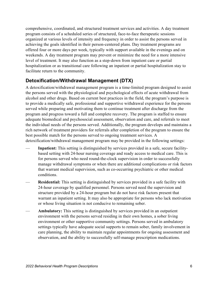comprehensive, coordinated, and structured treatment services and activities. A day treatment program consists of a scheduled series of structured, face-to-face therapeutic sessions organized at various levels of intensity and frequency in order to assist the persons served in achieving the goals identified in their person-centered plans. Day treatment programs are offered four or more days per week, typically with support available in the evenings and on weekends. A day treatment program may prevent or minimize the need for a more intensive level of treatment. It may also function as a step-down from inpatient care or partial hospitalization or as transitional care following an inpatient or partial hospitalization stay to facilitate return to the community.

#### <span id="page-5-0"></span>**Detoxification/Withdrawal Management (DTX)**

A detoxification/withdrawal management program is a time-limited program designed to assist the persons served with the physiological and psychological effects of acute withdrawal from alcohol and other drugs. Based on current best practices in the field, the program's purpose is to provide a medically safe, professional and supportive withdrawal experience for the persons served while preparing and motivating them to continue treatment after discharge from the program and progress toward a full and complete recovery. The program is staffed to ensure adequate biomedical and psychosocial assessment, observation and care, and referrals to meet the individual needs of the persons served. Additionally, the program develops and maintains a rich network of treatment providers for referrals after completion of the program to ensure the best possible match for the persons served to ongoing treatment services. A detoxification/withdrawal management program may be provided in the following settings:

- **Inpatient:** This setting is distinguished by services provided in a safe, secure facilitybased setting with 24-hour nursing coverage and ready access to medical care. This is for persons served who need round-the-clock supervision in order to successfully manage withdrawal symptoms or when there are additional complications or risk factors that warrant medical supervision, such as co-occurring psychiatric or other medical conditions.
- **Residential:** This setting is distinguished by services provided in a safe facility with 24-hour coverage by qualified personnel. Persons served need the supervision and structure provided by a 24-hour program but do not have risk factors present that warrant an inpatient setting. It may also be appropriate for persons who lack motivation or whose living situation is not conducive to remaining sober.
- **Ambulatory:** This setting is distinguished by services provided in an outpatient environment with the persons served residing in their own homes, a sober living environment or other supportive community settings. Persons served in ambulatory settings typically have adequate social supports to remain sober, family involvement in care planning, the ability to maintain regular appointments for ongoing assessment and observation, and the ability to successfully self-manage prescription medications.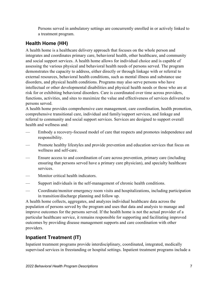Persons served in ambulatory settings are concurrently enrolled in or actively linked to a treatment program.

#### <span id="page-6-0"></span>**Health Home (HH)**

A health home is a healthcare delivery approach that focuses on the whole person and integrates and coordinates primary care, behavioral health, other healthcare, and community and social support services. A health home allows for individual choice and is capable of assessing the various physical and behavioral health needs of persons served. The program demonstrates the capacity to address, either directly or through linkage with or referral to external resources, behavioral health conditions, such as mental illness and substance use disorders, and physical health conditions. Programs may also serve persons who have intellectual or other developmental disabilities and physical health needs or those who are at risk for or exhibiting behavioral disorders. Care is coordinated over time across providers, functions, activities, and sites to maximize the value and effectiveness of services delivered to persons served.

A health home provides comprehensive care management, care coordination, health promotion, comprehensive transitional care, individual and family/support services, and linkage and referral to community and social support services. Services are designed to support overall health and wellness and:

- Embody a recovery-focused model of care that respects and promotes independence and responsibility.
- Promote healthy lifestyles and provide prevention and education services that focus on wellness and self-care.
- Ensure access to and coordination of care across prevention, primary care (including ensuring that persons served have a primary care physician), and specialty healthcare services.
- Monitor critical health indicators.
- Support individuals in the self-management of chronic health conditions.
- Coordinate/monitor emergency room visits and hospitalizations, including participation in transition/discharge planning and follow up.

A health home collects, aggregates, and analyzes individual healthcare data across the population of persons served by the program and uses that data and analysis to manage and improve outcomes for the persons served. If the health home is not the actual provider of a particular healthcare service, it remains responsible for supporting and facilitating improved outcomes by providing disease management supports and care coordination with other providers.

#### <span id="page-6-1"></span>**Inpatient Treatment (IT)**

Inpatient treatment programs provide interdisciplinary, coordinated, integrated, medically supervised services in freestanding or hospital settings. Inpatient treatment programs include a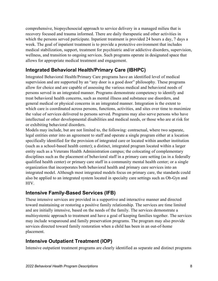comprehensive, biopsychosocial approach to service delivery in a managed milieu that is recovery focused and trauma informed. There are daily therapeutic and other activities in which the persons served participate. Inpatient treatment is provided 24 hours a day, 7 days a week. The goal of inpatient treatment is to provide a protective environment that includes medical stabilization, support, treatment for psychiatric and/or addictive disorders, supervision, wellness, and transition to ongoing services. Such programs operate in designated space that allows for appropriate medical treatment and engagement.

#### <span id="page-7-0"></span>**Integrated Behavioral Health/Primary Care (IBHPC)**

Integrated Behavioral Health/Primary Care programs have an identified level of medical supervision and are supported by an "any door is a good door" philosophy. These programs allow for choice and are capable of assessing the various medical and behavioral needs of persons served in an integrated manner. Programs demonstrate competency to identify and treat behavioral health concerns, such as mental illness and substance use disorders, and general medical or physical concerns in an integrated manner. Integration is the extent to which care is coordinated across persons, functions, activities, and sites over time to maximize the value of services delivered to persons served. Programs may also serve persons who have intellectual or other developmental disabilities and medical needs, or those who are at risk for or exhibiting behavioral disorders.

Models may include, but are not limited to, the following: contractual, where two separate, legal entities enter into an agreement to staff and operate a single program either at a location specifically identified for the provision of integrated care or located within another institution (such as a school-based health center); a distinct, integrated program located within a larger entity such as a Veterans Health Administration campus; the colocating of complementary disciplines such as the placement of behavioral staff in a primary care setting (as in a federally qualified health center) or primary care staff in a community mental health center; or a single organization that incorporates both behavioral health and primary care services into an integrated model. Although most integrated models focus on primary care, the standards could also be applied to an integrated system located in specialty care settings such as Ob-Gyn and HIV.

#### <span id="page-7-1"></span>**Intensive Family-Based Services (IFB)**

These intensive services are provided in a supportive and interactive manner and directed toward maintaining or restoring a positive family relationship. The services are time limited and are initially intensive, based on the needs of the family. The services demonstrate a multisystemic approach to treatment and have a goal of keeping families together. The services may include wraparound and family preservation programs. The program may also provide services directed toward family restoration when a child has been in an out-of-home placement.

#### <span id="page-7-2"></span>**Intensive Outpatient Treatment (IOP)**

Intensive outpatient treatment programs are clearly identified as separate and distinct programs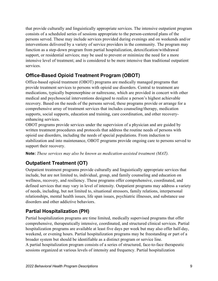that provide culturally and linguistically appropriate services. The intensive outpatient program consists of a scheduled series of sessions appropriate to the person-centered plans of the persons served. These may include services provided during evenings and on weekends and/or interventions delivered by a variety of service providers in the community. The program may function as a step-down program from partial hospitalization, detoxification/withdrawal support, or residential services; may be used to prevent or minimize the need for a more intensive level of treatment; and is considered to be more intensive than traditional outpatient services.

#### <span id="page-8-0"></span>**Office-Based Opioid Treatment Program (OBOT)**

Office-based opioid treatment (OBOT) programs are medically managed programs that provide treatment services to persons with opioid use disorders. Central to treatment are medications, typically buprenorphine or naltrexone, which are provided in concert with other medical and psychosocial interventions designed to realize a person's highest achievable recovery. Based on the needs of the persons served, these programs provide or arrange for a comprehensive array of treatment services that includes counseling/therapy, medication supports, social supports, education and training, care coordination, and other recoveryenhancing services.

OBOT programs provide services under the supervision of a physician and are guided by written treatment procedures and protocols that address the routine needs of persons with opioid use disorders, including the needs of special populations. From induction to stabilization and into maintenance, OBOT programs provide ongoing care to persons served to support their recovery.

**Note:** *These services may also be known as medication-assisted treatment (MAT).*

# <span id="page-8-1"></span>**Outpatient Treatment (OT)**

Outpatient treatment programs provide culturally and linguistically appropriate services that include, but are not limited to, individual, group, and family counseling and education on wellness, recovery, and resiliency. These programs offer comprehensive, coordinated, and defined services that may vary in level of intensity. Outpatient programs may address a variety of needs, including, but not limited to, situational stressors, family relations, interpersonal relationships, mental health issues, life span issues, psychiatric illnesses, and substance use disorders and other addictive behaviors.

# <span id="page-8-2"></span>**Partial Hospitalization (PH)**

Partial hospitalization programs are time limited, medically supervised programs that offer comprehensive, therapeutically intensive, coordinated, and structured clinical services. Partial hospitalization programs are available at least five days per week but may also offer half-day, weekend, or evening hours. Partial hospitalization programs may be freestanding or part of a broader system but should be identifiable as a distinct program or service line. A partial hospitalization program consists of a series of structured, face-to-face therapeutic sessions organized at various levels of intensity and frequency. Partial hospitalization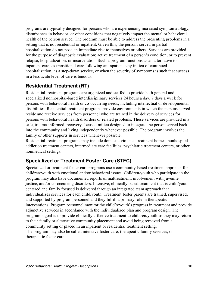programs are typically designed for persons who are experiencing increased symptomatology, disturbances in behavior, or other conditions that negatively impact the mental or behavioral health of the person served. The program must be able to address the presenting problems in a setting that is not residential or inpatient. Given this, the persons served in partial hospitalization do not pose an immediate risk to themselves or others. Services are provided for the purpose of diagnostic evaluation; active treatment of a person's condition; or to prevent relapse, hospitalization, or incarceration. Such a program functions as an alternative to inpatient care, as transitional care following an inpatient stay in lieu of continued hospitalization, as a step-down service, or when the severity of symptoms is such that success in a less acute level of care is tenuous.

#### <span id="page-9-0"></span>**Residential Treatment (RT)**

Residential treatment programs are organized and staffed to provide both general and specialized nonhospital-based interdisciplinary services 24 hours a day, 7 days a week for persons with behavioral health or co-occurring needs, including intellectual or developmental disabilities. Residential treatment programs provide environments in which the persons served reside and receive services from personnel who are trained in the delivery of services for persons with behavioral health disorders or related problems. These services are provided in a safe, trauma-informed, recovery-focused milieu designed to integrate the person served back into the community and living independently whenever possible. The program involves the family or other supports in services whenever possible.

Residential treatment programs may include domestic violence treatment homes, nonhospital addiction treatment centers, intermediate care facilities, psychiatric treatment centers, or other nonmedical settings.

#### <span id="page-9-1"></span>**Specialized or Treatment Foster Care (STFC)**

Specialized or treatment foster care programs use a community-based treatment approach for children/youth with emotional and/or behavioral issues. Children/youth who participate in the program may also have documented reports of maltreatment, involvement with juvenile justice, and/or co-occurring disorders. Intensive, clinically based treatment that is child/youth centered and family focused is delivered through an integrated team approach that individualizes services for each child/youth. Treatment foster parents are trained, supervised, and supported by program personnel and they fulfill a primary role in therapeutic interventions. Program personnel monitor the child's/youth's progress in treatment and provide adjunctive services in accordance with the individualized plan and program design. The program's goal is to provide clinically effective treatment to children/youth so they may return to their family or alternative community placement and avoid being removed from a community setting or placed in an inpatient or residential treatment setting. The program may also be called intensive foster care, therapeutic family services, or therapeutic foster care.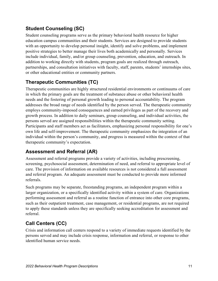#### <span id="page-10-0"></span>**Student Counseling (SC)**

Student counseling programs serve as the primary behavioral health resource for higher education campus communities and their students. Services are designed to provide students with an opportunity to develop personal insight, identify and solve problems, and implement positive strategies to better manage their lives both academically and personally. Services include individual, family, and/or group counseling, prevention, education, and outreach. In addition to working directly with students, program goals are realized through outreach, partnerships, and consultation initiatives with faculty, staff, parents, students' internships sites, or other educational entities or community partners.

# <span id="page-10-1"></span>**Therapeutic Communities (TC)**

Therapeutic communities are highly structured residential environments or continuums of care in which the primary goals are the treatment of substance abuse or other behavioral health needs and the fostering of personal growth leading to personal accountability. The program addresses the broad range of needs identified by the person served. The therapeutic community employs community-imposed consequences and earned privileges as part of the recovery and growth process. In addition to daily seminars, group counseling, and individual activities, the persons served are assigned responsibilities within the therapeutic community setting. Participants and staff members act as facilitators, emphasizing personal responsibility for one's own life and self-improvement. The therapeutic community emphasizes the integration of an individual within the person's community, and progress is measured within the context of that therapeutic community's expectation.

#### <span id="page-10-2"></span>**Assessment and Referral (AR)**

Assessment and referral programs provide a variety of activities, including prescreening, screening, psychosocial assessment, determination of need, and referral to appropriate level of care. The provision of information on available resources is not considered a full assessment and referral program. An adequate assessment must be conducted to provide more informed referrals.

Such programs may be separate, freestanding programs, an independent program within a larger organization, or a specifically identified activity within a system of care. Organizations performing assessment and referral as a routine function of entrance into other core programs, such as their outpatient treatment, case management, or residential programs, are not required to apply these standards unless they are specifically seeking accreditation for assessment and referral.

# <span id="page-10-3"></span>**Call Centers (CC)**

Crisis and information call centers respond to a variety of immediate requests identified by the persons served and may include crisis response, information and referral, or response to other identified human service needs.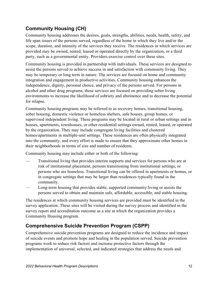#### <span id="page-11-0"></span>**Community Housing (CH)**

Community housing addresses the desires, goals, strengths, abilities, needs, health, safety, and life span issues of the persons served, regardless of the home in which they live and/or the scope, duration, and intensity of the services they receive. The residences in which services are provided may be owned, rented, leased or operated directly by the organization, or a third party, such as a governmental entity. Providers exercise control over these sites.

Community housing is provided in partnership with individuals. These services are designed to assist the persons served to achieve success in and satisfaction with community living. They may be temporary or long term in nature. The services are focused on home and community integration and engagement in productive activities. Community housing enhances the independence, dignity, personal choice, and privacy of the persons served. For persons in alcohol and other drug programs, these services are focused on providing sober living environments to increase the likelihood of sobriety and abstinence and to decrease the potential for relapse.

Community housing programs may be referred to as recovery homes, transitional housing, sober housing, domestic violence or homeless shelters, safe houses, group homes, or supervised independent living. These programs may be located in rural or urban settings and in houses, apartments, townhouses, or other residential settings owned, rented, leased, or operated by the organization. They may include congregate living facilities and clustered homes/apartments in multiple-unit settings. These residences are often physically integrated into the community, and every effort is made to ensure that they approximate other homes in their neighborhoods in terms of size and number of residents.

Community housing may include either or both of the following:

- Transitional living that provides interim supports and services for persons who are at risk of institutional placement, persons transitioning from institutional settings, or persons who are homeless. Transitional living can be offered in apartments or homes, or in congregate settings that may be larger than residences typically found in the community.
- Long-term housing that provides stable, supported community living or assists the persons served to obtain and maintain safe, affordable, accessible, and stable housing.

The residences at which community housing services are provided must be identified in the survey application. These sites will be visited during the survey process and identified in the survey report and accreditation outcome as a site at which the organization provides a Community Housing program.

#### <span id="page-11-1"></span>**Comprehensive Suicide Prevention Program (CSPP)**

Comprehensive suicide prevention programs are designed to reduce the incidence and impact of suicide events and promote hope and healing in the population served. Suicide prevention programs work to reduce risk factors and increase protective factors through the implementation of universal, selected, and indicated strategies that address the needs and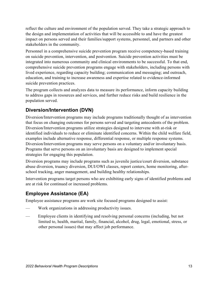reflect the culture and environment of the population served. They take a strategic approach to the design and implementation of activities that will be accessible to and have the greatest impact on persons served and their families/support systems, personnel, and partners and other stakeholders in the community.

Personnel in a comprehensive suicide prevention program receive competency-based training on suicide prevention, intervention, and postvention. Suicide prevention activities must be integrated into numerous community and clinical environments to be successful. To that end, comprehensive suicide prevention programs engage with stakeholders, including persons with lived experience, regarding capacity building; communication and messaging; and outreach, education, and training to increase awareness and expertise related to evidence-informed suicide prevention practices.

The program collects and analyzes data to measure its performance, inform capacity building to address gaps in resources and services, and further reduce risks and build resilience in the population served.

#### <span id="page-12-0"></span>**Diversion/Intervention (DVN)**

Diversion/Intervention programs may include programs traditionally thought of as intervention that focus on changing outcomes for persons served and targeting antecedents of the problem. Diversion/Intervention programs utilize strategies designed to intervene with at-risk or identified individuals to reduce or eliminate identified concerns. Within the child welfare field, examples include alternative response, differential response, or multiple response systems. Diversion/Intervention programs may serve persons on a voluntary and/or involuntary basis. Programs that serve persons on an involuntary basis are designed to implement special strategies for engaging this population.

Diversion programs may include programs such as juvenile justice/court diversion, substance abuse diversion, truancy diversion, DUI/OWI classes, report centers, home monitoring, afterschool tracking, anger management, and building healthy relationships.

Intervention programs target persons who are exhibiting early signs of identified problems and are at risk for continued or increased problems.

# <span id="page-12-1"></span>**Employee Assistance (EA)**

Employee assistance programs are work site focused programs designed to assist:

- Work organizations in addressing productivity issues.
- Employee clients in identifying and resolving personal concerns (including, but not limited to, health, marital, family, financial, alcohol, drug, legal, emotional, stress, or other personal issues) that may affect job performance.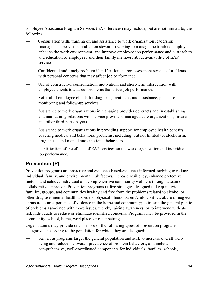Employee Assistance Program Services (EAP Services) may include, but are not limited to, the following:

- Consultation with, training of, and assistance to work organization leadership (managers, supervisors, and union stewards) seeking to manage the troubled employee, enhance the work environment, and improve employee job performance and outreach to and education of employees and their family members about availability of EAP services.
- Confidential and timely problem identification and/or assessment services for clients with personal concerns that may affect job performance.
- Use of constructive confrontation, motivation, and short-term intervention with employee clients to address problems that affect job performance.
- Referral of employee clients for diagnosis, treatment, and assistance, plus case monitoring and follow-up services.
- Assistance to work organizations in managing provider contracts and in establishing and maintaining relations with service providers, managed care organizations, insurers, and other third-party payers.
- Assistance to work organizations in providing support for employee health benefits covering medical and behavioral problems, including, but not limited to, alcoholism, drug abuse, and mental and emotional behaviors.
- Identification of the effects of EAP services on the work organization and individual job performance.

# <span id="page-13-0"></span>**Prevention (P)**

Prevention programs are proactive and evidence-based/evidence-informed, striving to reduce individual, family, and environmental risk factors, increase resiliency, enhance protective factors, and achieve individual and comprehensive community wellness through a team or collaborative approach. Prevention programs utilize strategies designed to keep individuals, families, groups, and communities healthy and free from the problems related to alcohol or other drug use, mental health disorders, physical illness, parent/child conflict, abuse or neglect, exposure to or experience of violence in the home and community; to inform the general public of problems associated with those issues, thereby raising awareness; or to intervene with atrisk individuals to reduce or eliminate identified concerns. Programs may be provided in the community, school, home, workplace, or other settings.

Organizations may provide one or more of the following types of prevention programs, categorized according to the population for which they are designed:

— *Universal* programs target the general population and seek to increase overall wellbeing and reduce the overall prevalence of problem behaviors, and include comprehensive, well-coordinated components for individuals, families, schools,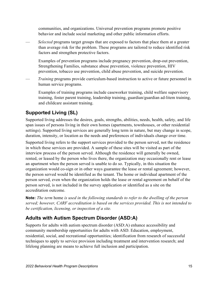communities, and organizations. Universal prevention programs promote positive behavior and include social marketing and other public information efforts.

— *Selected* programs target groups that are exposed to factors that place them at a greater than average risk for the problem. These programs are tailored to reduce identified risk factors and strengthen protective factors.

Examples of prevention programs include pregnancy prevention, drop-out prevention, Strengthening Families, substance abuse prevention, violence prevention, HIV prevention, tobacco use prevention, child abuse prevention, and suicide prevention.

— *Training* programs provide curriculum-based instruction to active or future personnel in human service programs.

Examples of training programs include caseworker training, child welfare supervisory training, foster parent training, leadership training, guardian/guardian ad-litem training, and childcare assistant training.

# <span id="page-14-0"></span>**Supported Living (SL)**

Supported living addresses the desires, goals, strengths, abilities, needs, health, safety, and life span issues of persons living in their own homes (apartments, townhouses, or other residential settings). Supported living services are generally long term in nature, but may change in scope, duration, intensity, or location as the needs and preferences of individuals change over time.

Supported living refers to the support services provided to the person served, not the residence in which these services are provided. A sample of these sites will be visited as part of the interview process of the person served. Although the residence will generally be owned, rented, or leased by the person who lives there, the organization may occasionally rent or lease an apartment when the person served is unable to do so. Typically, in this situation the organization would co-sign or in other ways guarantee the lease or rental agreement; however, the person served would be identified as the tenant. The home or individual apartment of the person served, even when the organization holds the lease or rental agreement on behalf of the person served, is not included in the survey application or identified as a site on the accreditation outcome.

**Note:** *The term* home *is used in the following standards to refer to the dwelling of the person served; however, CARF accreditation is based on the services provided. This is not intended to be certification, licensing, or inspection of a site.*

# <span id="page-14-1"></span>**Adults with Autism Spectrum Disorder (ASD:A)**

Supports for adults with autism spectrum disorder (ASD:A) enhance accessibility and community membership opportunities for adults with ASD. Education, employment, residential, social, and recreational opportunities; identification from research of successful techniques to apply to service provision including treatment and intervention research; and lifelong planning are means to achieve full inclusion and participation.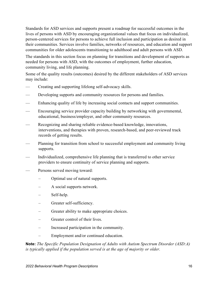Standards for ASD services and supports present a roadmap for successful outcomes in the lives of persons with ASD by encouraging organizational values that focus on individualized, person-centered services for persons to achieve full inclusion and participation as desired in their communities. Services involve families, networks of resources, and education and support communities for older adolescents transitioning to adulthood and adult persons with ASD.

The standards in this section focus on planning for transitions and development of supports as needed for persons with ASD, with the outcomes of employment, further education, community living, and life planning.

Some of the quality results (outcomes) desired by the different stakeholders of ASD services may include:

- Creating and supporting lifelong self-advocacy skills.
- Developing supports and community resources for persons and families.
- Enhancing quality of life by increasing social contacts and support communities.
- Encouraging service provider capacity building by networking with governmental, educational, business/employer, and other community resources.
- Recognizing and sharing reliable evidence-based knowledge, innovations, interventions, and therapies with proven, research-based, and peer-reviewed track records of getting results.
- Planning for transition from school to successful employment and community living supports.
- Individualized, comprehensive life planning that is transferred to other service providers to ensure continuity of service planning and supports.
- Persons served moving toward:
	- Optimal use of natural supports.
	- A social supports network.
	- Self-help.
	- Greater self-sufficiency.
	- Greater ability to make appropriate choices.
	- Greater control of their lives.
	- Increased participation in the community.
	- Employment and/or continued education.

**Note:** *The Specific Population Designation of Adults with Autism Spectrum Disorder (ASD:A) is typically applied if the population served is at the age of majority or older.*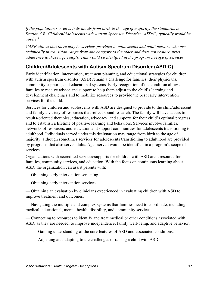*If the population served is individuals from birth to the age of majority, the standards in Section 5.B. Children/Adolescents with Autism Spectrum Disorder (ASD:C) typically would be applied.*

*CARF allows that there may be services provided to adolescents and adult persons who are technically in transition range from one category to the other and does not require strict adherence to these age cutoffs. This would be identified in the program's scope of services.*

#### <span id="page-16-0"></span>**Children/Adolescents with Autism Spectrum Disorder (ASD:C)**

Early identification, intervention, treatment planning, and educational strategies for children with autism spectrum disorder (ASD) remain a challenge for families, their physicians, community supports, and educational systems. Early recognition of the condition allows families to receive advice and support to help them adjust to the child's learning and development challenges and to mobilize resources to provide the best early intervention services for the child.

Services for children and adolescents with ASD are designed to provide to the child/adolescent and family a variety of resources that reflect sound research. The family will have access to results-oriented therapies, education, advocacy, and supports for their child's optimal progress and to establish a lifetime of positive learning and behaviors. Services involve families, networks of resources, and education and support communities for adolescents transitioning to adulthood. Individuals served under this designation may range from birth to the age of majority, although sometimes services for adolescents transitioning to adulthood are provided by programs that also serve adults. Ages served would be identified in a program's scope of services.

Organizations with accredited services/supports for children with ASD are a resource for families, community services, and education. With the focus on continuous learning about ASD, the organization can assist parents with:

— Obtaining early intervention screening.

— Obtaining early intervention services.

— Obtaining an evaluation by clinicians experienced in evaluating children with ASD to improve treatment and outcomes.

— Navigating the multiple and complex systems that families need to coordinate, including medical, educational, mental health, disability, and community services.

— Connecting to resources to identify and treat medical or other conditions associated with ASD, as they are needed, to improve independence, family well-being, and adaptive behavior.

- Gaining understanding of the core features of ASD and associated conditions.
- Adjusting and adapting to the challenges of raising a child with ASD.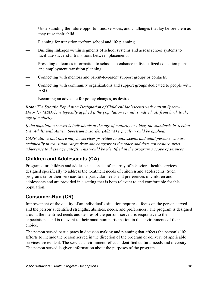- Understanding the future opportunities, services, and challenges that lay before them as they raise their child.
- Planning for transition to/from school and life planning.
- Building linkages within segments of school systems and across school systems to facilitate successful transitions between placements.
- Providing outcomes information to schools to enhance individualized education plans and employment transition planning.
- Connecting with mentors and parent-to-parent support groups or contacts.
- Connecting with community organizations and support groups dedicated to people with ASD.
- Becoming an advocate for policy changes, as desired.

**Note:** *The Specific Population Designation of Children/Adolescents with Autism Spectrum Disorder (ASD:C) is typically applied if the population served is individuals from birth to the age of majority.* 

*If the population served is individuals at the age of majority or older, the standards in Section 5.A. Adults with Autism Spectrum Disorder (ASD:A) typically would be applied.*

*CARF allows that there may be services provided to adolescents and adult persons who are technically in transition range from one category to the other and does not require strict adherence to these age cutoffs. This would be identified in the program's scope of services.*

# <span id="page-17-0"></span>**Children and Adolescents (CA)**

Programs for children and adolescents consist of an array of behavioral health services designed specifically to address the treatment needs of children and adolescents. Such programs tailor their services to the particular needs and preferences of children and adolescents and are provided in a setting that is both relevant to and comfortable for this population.

# <span id="page-17-1"></span>**Consumer-Run (CR)**

Improvement of the quality of an individual's situation requires a focus on the person served and the person's identified strengths, abilities, needs, and preferences. The program is designed around the identified needs and desires of the persons served, is responsive to their expectations, and is relevant to their maximum participation in the environments of their choice.

The person served participates in decision making and planning that affects the person's life. Efforts to include the person served in the direction of the program or delivery of applicable services are evident. The service environment reflects identified cultural needs and diversity. The person served is given information about the purposes of the program.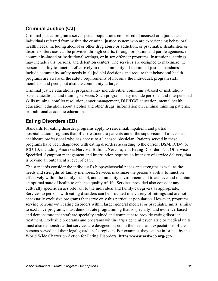#### <span id="page-18-0"></span>**Criminal Justice (CJ)**

Criminal justice programs serve special populations comprised of accused or adjudicated individuals referred from within the criminal justice system who are experiencing behavioral health needs, including alcohol or other drug abuse or addiction, or psychiatric disabilities or disorders. Services can be provided through courts, through probation and parole agencies, in community-based or institutional settings, or in sex offender programs. Institutional settings may include jails, prisons, and detention centers. The services are designed to maximize the person's ability to function effectively in the community. The criminal justice mandates include community safety needs in all judicial decisions and require that behavioral health programs are aware of the safety requirements of not only the individual, program staff members, and peers, but also the community at large.

Criminal justice educational programs may include either community-based or institutionbased educational and training services. Such programs may include personal and interpersonal skills training, conflict resolution, anger management, DUI/DWI education, mental health education, education about alcohol and other drugs, information on criminal thinking patterns, or traditional academic education.

#### <span id="page-18-1"></span>**Eating Disorders (ED)**

Standards for eating disorder programs apply to residential, inpatient, and partial hospitalization programs that offer treatment to patients under the supervision of a licensed healthcare professional who has access to a licensed physician. Patients served in these programs have been diagnosed with eating disorders according to the current DSM, ICD-9 or ICD-10, including Anorexia Nervosa, Bulimia Nervosa, and Eating Disorders Not Otherwise Specified. Symptom management and interruption requires an intensity of service delivery that is beyond an outpatient a level of care.

The standards consider the individual's biopsychosocial needs and strengths as well as the needs and strengths of family members. Services maximize the person's ability to function effectively within the family, school, and community environment and to achieve and maintain an optimal state of health to enhance quality of life. Services provided also consider any culturally specific issues relevant to the individual and family/caregivers as appropriate. Services to persons with eating disorders can be provided in a variety of settings and are not necessarily exclusive programs that serve only this particular population. However, programs serving persons with eating disorders within larger general medical or psychiatric units, similar to exclusive programs, must demonstrate programming that is specialty- and evidence-based and demonstrate that staff are specialty-trained and competent to provide eating disorder treatment. Exclusive programs and programs within larger general psychiatric or medical units must also demonstrate that services are designed based on the needs and expectations of the persons served and their legal guardians/caregivers. For example, they can be informed by the World Wide Charter on Action for Eating Disorders (**https://www.aedweb.org/get-**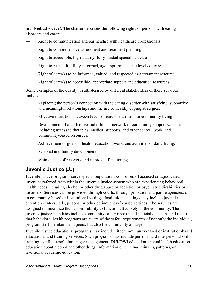**involved/advocacy**). The charter describes the following rights of persons with eating disorders and carers:

- Right to communication and partnership with healthcare professionals
- Right to comprehensive assessment and treatment planning
- Right to accessible, high-quality, fully funded specialized care
- Right to respectful, fully informed, age-appropriate, safe levels of care
- Right of carer(s) to be informed, valued, and respected as a treatment resource
- Right of carer(s) to accessible, appropriate support and education resources

Some examples of the quality results desired by different stakeholders of these services include:

- Replacing the person's connection with the eating disorder with satisfying, supportive and meaningful relationships and the use of healthy coping strategies.
- Effective transitions between levels of care or transition to community living.
- Development of an effective and efficient network of community support services including access to therapies, medical supports, and other school, work, and community-based resources.
- Achievement of goals in health, education, work, and activities of daily living.
- Personal and family development.
- Maintenance of recovery and improved functioning.

#### <span id="page-19-0"></span>**Juvenile Justice (JJ)**

Juvenile justice programs serve special populations comprised of accused or adjudicated juveniles referred from within the juvenile justice system who are experiencing behavioral health needs including alcohol or other drug abuse or addiction or psychiatric disabilities or disorders. Services can be provided through courts, through probation and parole agencies, or in community-based or institutional settings. Institutional settings may include juvenile detention centers, jails, prisons, or other delinquency-focused settings. The services are designed to maximize the person's ability to function effectively in the community. The juvenile justice mandates include community safety needs in all judicial decisions and require that behavioral health programs are aware of the safety requirements of not only the individual, program staff members, and peers, but also the community at large.

Juvenile justice educational programs may include either community-based or institution-based educational and training services. Such programs may include personal and interpersonal skills training, conflict resolution, anger management, DUI/OWI education, mental health education, education about alcohol and other drugs, information on criminal thinking patterns, or traditional academic education.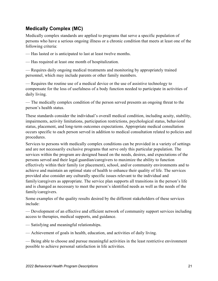#### <span id="page-20-0"></span>**Medically Complex (MC)**

Medically complex standards are applied to programs that serve a specific population of persons who have a serious ongoing illness or a chronic condition that meets at least one of the following criteria:

— Has lasted or is anticipated to last at least twelve months.

— Has required at least one month of hospitalization.

— Requires daily ongoing medical treatments and monitoring by appropriately trained personnel, which may include parents or other family members.

— Requires the routine use of a medical device or the use of assistive technology to compensate for the loss of usefulness of a body function needed to participate in activities of daily living.

— The medically complex condition of the person served presents an ongoing threat to the person's health status.

These standards consider the individual's overall medical condition, including acuity, stability, impairments, activity limitations, participation restrictions, psychological status, behavioral status, placement, and long-term outcomes expectations. Appropriate medical consultation occurs specific to each person served in addition to medical consultation related to policies and procedures.

Services to persons with medically complex conditions can be provided in a variety of settings and are not necessarily exclusive programs that serve only this particular population. The services within the program are designed based on the needs, desires, and expectations of the persons served and their legal guardian/caregivers to maximize the ability to function effectively within their family (or placement), school, and/or community environments and to achieve and maintain an optimal state of health to enhance their quality of life. The services provided also consider any culturally specific issues relevant to the individual and family/caregivers as appropriate. The service plan supports all transitions in the person's life and is changed as necessary to meet the person's identified needs as well as the needs of the family/caregivers.

Some examples of the quality results desired by the different stakeholders of these services include:

— Development of an effective and efficient network of community support services including access to therapies, medical supports, and guidance.

— Satisfying and meaningful relationships.

— Achievement of goals in health, education, and activities of daily living.

— Being able to choose and pursue meaningful activities in the least restrictive environment possible to achieve personal satisfaction in life activities.